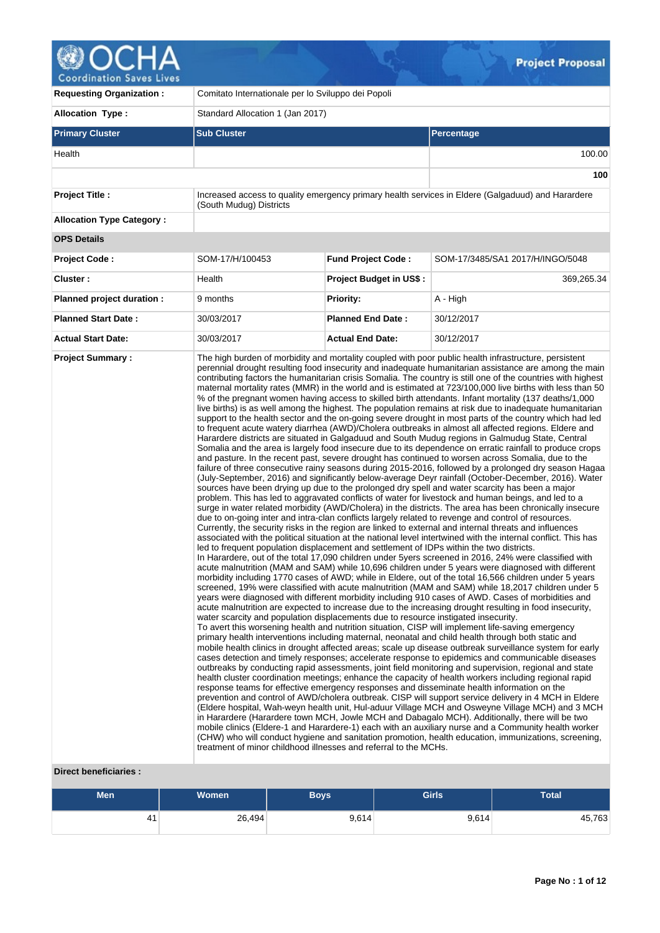# **OCHA**<br>Coordination Saves Lives

| <b>Requesting Organization:</b>  | Comitato Internationale per lo Sviluppo dei Popoli                                                                                                                                                                                                 |                                |                                                                                                                                                                                                                                                                                                                                                                                                                                                                                                                                                                                                                                                                                                                                                                                                                                                                                                                                                                                                                                                                                                                                                                                                                                                                                                                                                                                                                                                                                                                                                                                                                                                                                                                                                                                                                                                                                                                                                                                                                                                                                                                                                                                                                                                                                                                                                                                                                                                                                                                                                                                                                                                                                                                                                                                                                                                                                                                                                                                                                                                                                                                                                                                                                                                                                                                                                                                                                                                                                                                                                                                                                                                                                                                                                                                                                                                                                                                                                                                                             |  |  |  |  |  |
|----------------------------------|----------------------------------------------------------------------------------------------------------------------------------------------------------------------------------------------------------------------------------------------------|--------------------------------|-------------------------------------------------------------------------------------------------------------------------------------------------------------------------------------------------------------------------------------------------------------------------------------------------------------------------------------------------------------------------------------------------------------------------------------------------------------------------------------------------------------------------------------------------------------------------------------------------------------------------------------------------------------------------------------------------------------------------------------------------------------------------------------------------------------------------------------------------------------------------------------------------------------------------------------------------------------------------------------------------------------------------------------------------------------------------------------------------------------------------------------------------------------------------------------------------------------------------------------------------------------------------------------------------------------------------------------------------------------------------------------------------------------------------------------------------------------------------------------------------------------------------------------------------------------------------------------------------------------------------------------------------------------------------------------------------------------------------------------------------------------------------------------------------------------------------------------------------------------------------------------------------------------------------------------------------------------------------------------------------------------------------------------------------------------------------------------------------------------------------------------------------------------------------------------------------------------------------------------------------------------------------------------------------------------------------------------------------------------------------------------------------------------------------------------------------------------------------------------------------------------------------------------------------------------------------------------------------------------------------------------------------------------------------------------------------------------------------------------------------------------------------------------------------------------------------------------------------------------------------------------------------------------------------------------------------------------------------------------------------------------------------------------------------------------------------------------------------------------------------------------------------------------------------------------------------------------------------------------------------------------------------------------------------------------------------------------------------------------------------------------------------------------------------------------------------------------------------------------------------------------------------------------------------------------------------------------------------------------------------------------------------------------------------------------------------------------------------------------------------------------------------------------------------------------------------------------------------------------------------------------------------------------------------------------------------------------------------------------------------------------|--|--|--|--|--|
| <b>Allocation Type:</b>          | Standard Allocation 1 (Jan 2017)                                                                                                                                                                                                                   |                                |                                                                                                                                                                                                                                                                                                                                                                                                                                                                                                                                                                                                                                                                                                                                                                                                                                                                                                                                                                                                                                                                                                                                                                                                                                                                                                                                                                                                                                                                                                                                                                                                                                                                                                                                                                                                                                                                                                                                                                                                                                                                                                                                                                                                                                                                                                                                                                                                                                                                                                                                                                                                                                                                                                                                                                                                                                                                                                                                                                                                                                                                                                                                                                                                                                                                                                                                                                                                                                                                                                                                                                                                                                                                                                                                                                                                                                                                                                                                                                                                             |  |  |  |  |  |
| <b>Primary Cluster</b>           | <b>Sub Cluster</b>                                                                                                                                                                                                                                 |                                | Percentage                                                                                                                                                                                                                                                                                                                                                                                                                                                                                                                                                                                                                                                                                                                                                                                                                                                                                                                                                                                                                                                                                                                                                                                                                                                                                                                                                                                                                                                                                                                                                                                                                                                                                                                                                                                                                                                                                                                                                                                                                                                                                                                                                                                                                                                                                                                                                                                                                                                                                                                                                                                                                                                                                                                                                                                                                                                                                                                                                                                                                                                                                                                                                                                                                                                                                                                                                                                                                                                                                                                                                                                                                                                                                                                                                                                                                                                                                                                                                                                                  |  |  |  |  |  |
| Health                           |                                                                                                                                                                                                                                                    |                                | 100.00                                                                                                                                                                                                                                                                                                                                                                                                                                                                                                                                                                                                                                                                                                                                                                                                                                                                                                                                                                                                                                                                                                                                                                                                                                                                                                                                                                                                                                                                                                                                                                                                                                                                                                                                                                                                                                                                                                                                                                                                                                                                                                                                                                                                                                                                                                                                                                                                                                                                                                                                                                                                                                                                                                                                                                                                                                                                                                                                                                                                                                                                                                                                                                                                                                                                                                                                                                                                                                                                                                                                                                                                                                                                                                                                                                                                                                                                                                                                                                                                      |  |  |  |  |  |
|                                  |                                                                                                                                                                                                                                                    |                                | 100                                                                                                                                                                                                                                                                                                                                                                                                                                                                                                                                                                                                                                                                                                                                                                                                                                                                                                                                                                                                                                                                                                                                                                                                                                                                                                                                                                                                                                                                                                                                                                                                                                                                                                                                                                                                                                                                                                                                                                                                                                                                                                                                                                                                                                                                                                                                                                                                                                                                                                                                                                                                                                                                                                                                                                                                                                                                                                                                                                                                                                                                                                                                                                                                                                                                                                                                                                                                                                                                                                                                                                                                                                                                                                                                                                                                                                                                                                                                                                                                         |  |  |  |  |  |
| <b>Project Title:</b>            | (South Mudug) Districts                                                                                                                                                                                                                            |                                | Increased access to quality emergency primary health services in Eldere (Galgaduud) and Harardere                                                                                                                                                                                                                                                                                                                                                                                                                                                                                                                                                                                                                                                                                                                                                                                                                                                                                                                                                                                                                                                                                                                                                                                                                                                                                                                                                                                                                                                                                                                                                                                                                                                                                                                                                                                                                                                                                                                                                                                                                                                                                                                                                                                                                                                                                                                                                                                                                                                                                                                                                                                                                                                                                                                                                                                                                                                                                                                                                                                                                                                                                                                                                                                                                                                                                                                                                                                                                                                                                                                                                                                                                                                                                                                                                                                                                                                                                                           |  |  |  |  |  |
| <b>Allocation Type Category:</b> |                                                                                                                                                                                                                                                    |                                |                                                                                                                                                                                                                                                                                                                                                                                                                                                                                                                                                                                                                                                                                                                                                                                                                                                                                                                                                                                                                                                                                                                                                                                                                                                                                                                                                                                                                                                                                                                                                                                                                                                                                                                                                                                                                                                                                                                                                                                                                                                                                                                                                                                                                                                                                                                                                                                                                                                                                                                                                                                                                                                                                                                                                                                                                                                                                                                                                                                                                                                                                                                                                                                                                                                                                                                                                                                                                                                                                                                                                                                                                                                                                                                                                                                                                                                                                                                                                                                                             |  |  |  |  |  |
| <b>OPS Details</b>               |                                                                                                                                                                                                                                                    |                                |                                                                                                                                                                                                                                                                                                                                                                                                                                                                                                                                                                                                                                                                                                                                                                                                                                                                                                                                                                                                                                                                                                                                                                                                                                                                                                                                                                                                                                                                                                                                                                                                                                                                                                                                                                                                                                                                                                                                                                                                                                                                                                                                                                                                                                                                                                                                                                                                                                                                                                                                                                                                                                                                                                                                                                                                                                                                                                                                                                                                                                                                                                                                                                                                                                                                                                                                                                                                                                                                                                                                                                                                                                                                                                                                                                                                                                                                                                                                                                                                             |  |  |  |  |  |
| <b>Project Code:</b>             | SOM-17/H/100453                                                                                                                                                                                                                                    | <b>Fund Project Code:</b>      | SOM-17/3485/SA1 2017/H/INGO/5048                                                                                                                                                                                                                                                                                                                                                                                                                                                                                                                                                                                                                                                                                                                                                                                                                                                                                                                                                                                                                                                                                                                                                                                                                                                                                                                                                                                                                                                                                                                                                                                                                                                                                                                                                                                                                                                                                                                                                                                                                                                                                                                                                                                                                                                                                                                                                                                                                                                                                                                                                                                                                                                                                                                                                                                                                                                                                                                                                                                                                                                                                                                                                                                                                                                                                                                                                                                                                                                                                                                                                                                                                                                                                                                                                                                                                                                                                                                                                                            |  |  |  |  |  |
| Cluster:                         | Health                                                                                                                                                                                                                                             | <b>Project Budget in US\$:</b> | 369,265.34                                                                                                                                                                                                                                                                                                                                                                                                                                                                                                                                                                                                                                                                                                                                                                                                                                                                                                                                                                                                                                                                                                                                                                                                                                                                                                                                                                                                                                                                                                                                                                                                                                                                                                                                                                                                                                                                                                                                                                                                                                                                                                                                                                                                                                                                                                                                                                                                                                                                                                                                                                                                                                                                                                                                                                                                                                                                                                                                                                                                                                                                                                                                                                                                                                                                                                                                                                                                                                                                                                                                                                                                                                                                                                                                                                                                                                                                                                                                                                                                  |  |  |  |  |  |
| Planned project duration :       | 9 months                                                                                                                                                                                                                                           | <b>Priority:</b>               | A - High                                                                                                                                                                                                                                                                                                                                                                                                                                                                                                                                                                                                                                                                                                                                                                                                                                                                                                                                                                                                                                                                                                                                                                                                                                                                                                                                                                                                                                                                                                                                                                                                                                                                                                                                                                                                                                                                                                                                                                                                                                                                                                                                                                                                                                                                                                                                                                                                                                                                                                                                                                                                                                                                                                                                                                                                                                                                                                                                                                                                                                                                                                                                                                                                                                                                                                                                                                                                                                                                                                                                                                                                                                                                                                                                                                                                                                                                                                                                                                                                    |  |  |  |  |  |
| <b>Planned Start Date:</b>       | 30/03/2017                                                                                                                                                                                                                                         | <b>Planned End Date:</b>       | 30/12/2017                                                                                                                                                                                                                                                                                                                                                                                                                                                                                                                                                                                                                                                                                                                                                                                                                                                                                                                                                                                                                                                                                                                                                                                                                                                                                                                                                                                                                                                                                                                                                                                                                                                                                                                                                                                                                                                                                                                                                                                                                                                                                                                                                                                                                                                                                                                                                                                                                                                                                                                                                                                                                                                                                                                                                                                                                                                                                                                                                                                                                                                                                                                                                                                                                                                                                                                                                                                                                                                                                                                                                                                                                                                                                                                                                                                                                                                                                                                                                                                                  |  |  |  |  |  |
| <b>Actual Start Date:</b>        | 30/03/2017                                                                                                                                                                                                                                         | <b>Actual End Date:</b>        | 30/12/2017                                                                                                                                                                                                                                                                                                                                                                                                                                                                                                                                                                                                                                                                                                                                                                                                                                                                                                                                                                                                                                                                                                                                                                                                                                                                                                                                                                                                                                                                                                                                                                                                                                                                                                                                                                                                                                                                                                                                                                                                                                                                                                                                                                                                                                                                                                                                                                                                                                                                                                                                                                                                                                                                                                                                                                                                                                                                                                                                                                                                                                                                                                                                                                                                                                                                                                                                                                                                                                                                                                                                                                                                                                                                                                                                                                                                                                                                                                                                                                                                  |  |  |  |  |  |
| <b>Project Summary:</b>          | led to frequent population displacement and settlement of IDPs within the two districts.<br>water scarcity and population displacements due to resource instigated insecurity.<br>treatment of minor childhood illnesses and referral to the MCHs. |                                | The high burden of morbidity and mortality coupled with poor public health infrastructure, persistent<br>perennial drought resulting food insecurity and inadequate humanitarian assistance are among the main<br>contributing factors the humanitarian crisis Somalia. The country is still one of the countries with highest<br>maternal mortality rates (MMR) in the world and is estimated at 723/100,000 live births with less than 50<br>% of the pregnant women having access to skilled birth attendants. Infant mortality (137 deaths/1,000<br>live births) is as well among the highest. The population remains at risk due to inadequate humanitarian<br>support to the health sector and the on-going severe drought in most parts of the country which had led<br>to frequent acute watery diarrhea (AWD)/Cholera outbreaks in almost all affected regions. Eldere and<br>Harardere districts are situated in Galgaduud and South Mudug regions in Galmudug State, Central<br>Somalia and the area is largely food insecure due to its dependence on erratic rainfall to produce crops<br>and pasture. In the recent past, severe drought has continued to worsen across Somalia, due to the<br>failure of three consecutive rainy seasons during 2015-2016, followed by a prolonged dry season Hagaa<br>(July-September, 2016) and significantly below-average Deyr rainfall (October-December, 2016). Water<br>sources have been drying up due to the prolonged dry spell and water scarcity has been a major<br>problem. This has led to aggravated conflicts of water for livestock and human beings, and led to a<br>surge in water related morbidity (AWD/Cholera) in the districts. The area has been chronically insecure<br>due to on-going inter and intra-clan conflicts largely related to revenge and control of resources.<br>Currently, the security risks in the region are linked to external and internal threats and influences<br>associated with the political situation at the national level intertwined with the internal conflict. This has<br>In Harardere, out of the total 17,090 children under 5yers screened in 2016, 24% were classified with<br>acute malnutrition (MAM and SAM) while 10,696 children under 5 years were diagnosed with different<br>morbidity including 1770 cases of AWD; while in Eldere, out of the total 16,566 children under 5 years<br>screened, 19% were classified with acute malnutrition (MAM and SAM) while 18,2017 children under 5<br>years were diagnosed with different morbidity including 910 cases of AWD. Cases of morbidities and<br>acute malnutrition are expected to increase due to the increasing drought resulting in food insecurity,<br>To avert this worsening health and nutrition situation, CISP will implement life-saving emergency<br>primary health interventions including maternal, neonatal and child health through both static and<br>mobile health clinics in drought affected areas; scale up disease outbreak surveillance system for early<br>cases detection and timely responses; accelerate response to epidemics and communicable diseases<br>outbreaks by conducting rapid assessments, joint field monitoring and supervision, regional and state<br>health cluster coordination meetings; enhance the capacity of health workers including regional rapid<br>response teams for effective emergency responses and disseminate health information on the<br>prevention and control of AWD/cholera outbreak. CISP will support service delivery in 4 MCH in Eldere<br>(Eldere hospital, Wah-weyn health unit, Hul-aduur Village MCH and Osweyne Village MCH) and 3 MCH<br>in Harardere (Harardere town MCH, Jowle MCH and Dabagalo MCH). Additionally, there will be two<br>mobile clinics (Eldere-1 and Harardere-1) each with an auxiliary nurse and a Community health worker<br>(CHW) who will conduct hygiene and sanitation promotion, health education, immunizations, screening, |  |  |  |  |  |

# **Direct beneficiaries :**

| <b>Men</b> | <b>Women</b> | Boys' | <b>Girls</b> | <b>Total</b> |
|------------|--------------|-------|--------------|--------------|
| 41         | 26,494       | 9,614 | 9,614        | 45,763       |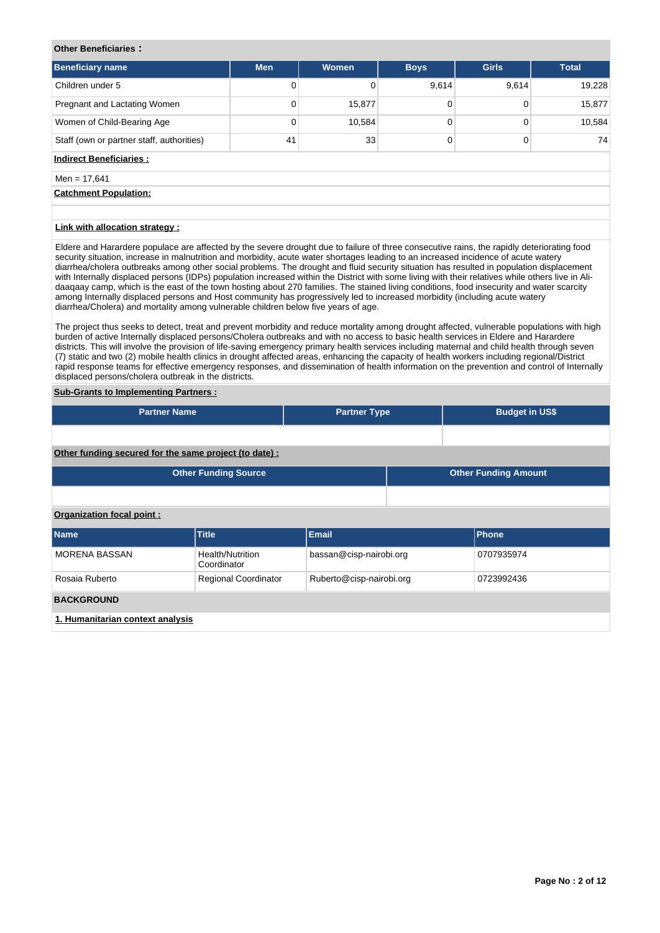# **Other Beneficiaries :**

| <b>Beneficiary name</b>                   | <b>Men</b> | <b>Women</b> | <b>Boys</b> | <b>Girls</b> | <b>Total</b> |
|-------------------------------------------|------------|--------------|-------------|--------------|--------------|
| Children under 5                          |            |              | 9,614       | 9,614        | 19,228       |
| Pregnant and Lactating Women              | 0          | 15,877       |             |              | 15,877       |
| Women of Child-Bearing Age                | 0          | 10,584       |             |              | 10,584       |
| Staff (own or partner staff, authorities) | 41         | 33           |             |              | 74           |

# **Indirect Beneficiaries :**

# $Men = 17.641$

**Catchment Population:**

# **Link with allocation strategy :**

Eldere and Harardere populace are affected by the severe drought due to failure of three consecutive rains, the rapidly deteriorating food security situation, increase in malnutrition and morbidity, acute water shortages leading to an increased incidence of acute watery diarrhea/cholera outbreaks among other social problems. The drought and fluid security situation has resulted in population displacement with Internally displaced persons (IDPs) population increased within the District with some living with their relatives while others live in Alidaaqaay camp, which is the east of the town hosting about 270 families. The stained living conditions, food insecurity and water scarcity among Internally displaced persons and Host community has progressively led to increased morbidity (including acute watery diarrhea/Cholera) and mortality among vulnerable children below five years of age.

The project thus seeks to detect, treat and prevent morbidity and reduce mortality among drought affected, vulnerable populations with high burden of active Internally displaced persons/Cholera outbreaks and with no access to basic health services in Eldere and Harardere districts. This will involve the provision of life-saving emergency primary health services including maternal and child health through seven (7) static and two (2) mobile health clinics in drought affected areas, enhancing the capacity of health workers including regional/District rapid response teams for effective emergency responses, and dissemination of health information on the prevention and control of Internally displaced persons/cholera outbreak in the districts.

# **Sub-Grants to Implementing Partners :**

| <b>Partner Name</b>                                    |                                 | <b>Partner Type</b>      |  | <b>Budget in US\$</b>       |  |  |  |  |  |
|--------------------------------------------------------|---------------------------------|--------------------------|--|-----------------------------|--|--|--|--|--|
|                                                        |                                 |                          |  |                             |  |  |  |  |  |
| Other funding secured for the same project (to date) : |                                 |                          |  |                             |  |  |  |  |  |
|                                                        | <b>Other Funding Source</b>     |                          |  | <b>Other Funding Amount</b> |  |  |  |  |  |
|                                                        |                                 |                          |  |                             |  |  |  |  |  |
| Organization focal point:                              |                                 |                          |  |                             |  |  |  |  |  |
| <b>Name</b>                                            | <b>Title</b>                    | <b>Email</b>             |  | <b>Phone</b>                |  |  |  |  |  |
| <b>MORENA BASSAN</b>                                   | Health/Nutrition<br>Coordinator | bassan@cisp-nairobi.org  |  | 0707935974                  |  |  |  |  |  |
| Rosaia Ruberto                                         | <b>Regional Coordinator</b>     | Ruberto@cisp-nairobi.org |  | 0723992436                  |  |  |  |  |  |
| <b>BACKGROUND</b>                                      |                                 |                          |  |                             |  |  |  |  |  |
| 1. Humanitarian context analysis                       |                                 |                          |  |                             |  |  |  |  |  |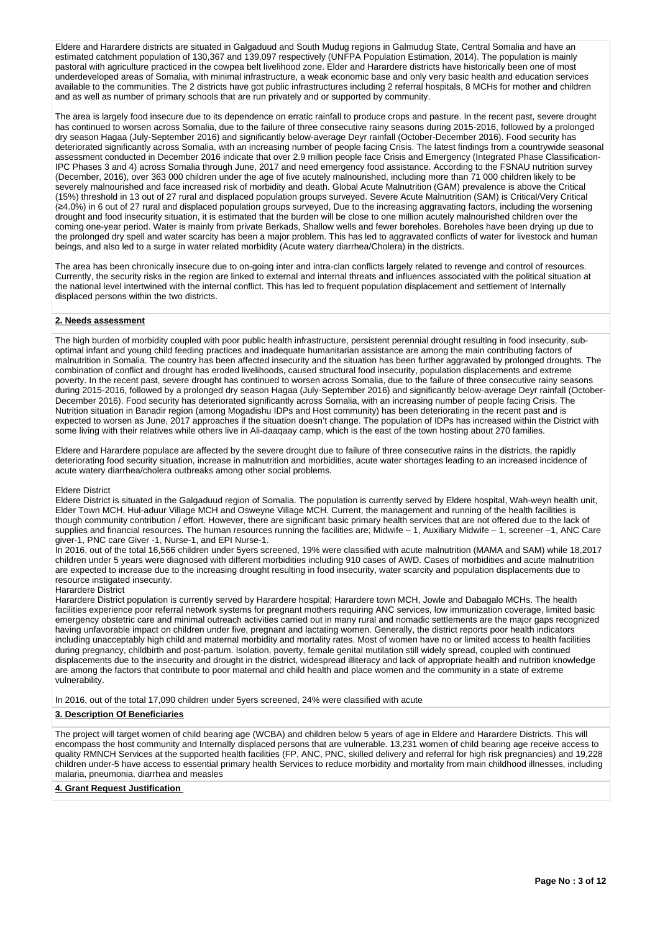Eldere and Harardere districts are situated in Galgaduud and South Mudug regions in Galmudug State, Central Somalia and have an estimated catchment population of 130,367 and 139,097 respectively (UNFPA Population Estimation, 2014). The population is mainly pastoral with agriculture practiced in the cowpea belt livelihood zone. Elder and Harardere districts have historically been one of most underdeveloped areas of Somalia, with minimal infrastructure, a weak economic base and only very basic health and education services available to the communities. The 2 districts have got public infrastructures including 2 referral hospitals, 8 MCHs for mother and children and as well as number of primary schools that are run privately and or supported by community.

The area is largely food insecure due to its dependence on erratic rainfall to produce crops and pasture. In the recent past, severe drought has continued to worsen across Somalia, due to the failure of three consecutive rainy seasons during 2015-2016, followed by a prolonged dry season Hagaa (July-September 2016) and significantly below-average Deyr rainfall (October-December 2016). Food security has deteriorated significantly across Somalia, with an increasing number of people facing Crisis. The latest findings from a countrywide seasonal assessment conducted in December 2016 indicate that over 2.9 million people face Crisis and Emergency (Integrated Phase Classification-IPC Phases 3 and 4) across Somalia through June, 2017 and need emergency food assistance. According to the FSNAU nutrition survey (December, 2016), over 363 000 children under the age of five acutely malnourished, including more than 71 000 children likely to be severely malnourished and face increased risk of morbidity and death. Global Acute Malnutrition (GAM) prevalence is above the Critical (15%) threshold in 13 out of 27 rural and displaced population groups surveyed. Severe Acute Malnutrition (SAM) is Critical/Very Critical 4.0%) in 6 out of 27 rural and displaced population groups surveyed, Due to the increasing aggravating factors, including the worsening drought and food insecurity situation, it is estimated that the burden will be close to one million acutely malnourished children over the coming one-year period. Water is mainly from private Berkads, Shallow wells and fewer boreholes. Boreholes have been drying up due to the prolonged dry spell and water scarcity has been a major problem. This has led to aggravated conflicts of water for livestock and human beings, and also led to a surge in water related morbidity (Acute watery diarrhea/Cholera) in the districts.

The area has been chronically insecure due to on-going inter and intra-clan conflicts largely related to revenge and control of resources. Currently, the security risks in the region are linked to external and internal threats and influences associated with the political situation at the national level intertwined with the internal conflict. This has led to frequent population displacement and settlement of Internally displaced persons within the two districts.

## **2. Needs assessment**

The high burden of morbidity coupled with poor public health infrastructure, persistent perennial drought resulting in food insecurity, suboptimal infant and young child feeding practices and inadequate humanitarian assistance are among the main contributing factors of malnutrition in Somalia. The country has been affected insecurity and the situation has been further aggravated by prolonged droughts. The combination of conflict and drought has eroded livelihoods, caused structural food insecurity, population displacements and extreme poverty. In the recent past, severe drought has continued to worsen across Somalia, due to the failure of three consecutive rainy seasons during 2015-2016, followed by a prolonged dry season Hagaa (July-September 2016) and significantly below-average Deyr rainfall (October-December 2016). Food security has deteriorated significantly across Somalia, with an increasing number of people facing Crisis. The Nutrition situation in Banadir region (among Mogadishu IDPs and Host community) has been deteriorating in the recent past and is expected to worsen as June, 2017 approaches if the situation doesn't change. The population of IDPs has increased within the District with some living with their relatives while others live in Ali-daaqaay camp, which is the east of the town hosting about 270 families.

Eldere and Harardere populace are affected by the severe drought due to failure of three consecutive rains in the districts, the rapidly deteriorating food security situation, increase in malnutrition and morbidities, acute water shortages leading to an increased incidence of acute watery diarrhea/cholera outbreaks among other social problems.

## Eldere District

Eldere District is situated in the Galgaduud region of Somalia. The population is currently served by Eldere hospital, Wah-weyn health unit, Elder Town MCH, Hul-aduur Village MCH and Osweyne Village MCH. Current, the management and running of the health facilities is though community contribution / effort. However, there are significant basic primary health services that are not offered due to the lack of supplies and financial resources. The human resources running the facilities are; Midwife – 1, Auxiliary Midwife – 1, screener –1, ANC Care giver-1, PNC care Giver -1, Nurse-1, and EPI Nurse-1.

In 2016, out of the total 16,566 children under 5yers screened, 19% were classified with acute malnutrition (MAMA and SAM) while 18,2017 children under 5 years were diagnosed with different morbidities including 910 cases of AWD. Cases of morbidities and acute malnutrition are expected to increase due to the increasing drought resulting in food insecurity, water scarcity and population displacements due to resource instigated insecurity.

#### Harardere District

Harardere District population is currently served by Harardere hospital; Harardere town MCH, Jowle and Dabagalo MCHs. The health facilities experience poor referral network systems for pregnant mothers requiring ANC services, low immunization coverage, limited basic emergency obstetric care and minimal outreach activities carried out in many rural and nomadic settlements are the major gaps recognized having unfavorable impact on children under five, pregnant and lactating women. Generally, the district reports poor health indicators including unacceptably high child and maternal morbidity and mortality rates. Most of women have no or limited access to health facilities during pregnancy, childbirth and post-partum. Isolation, poverty, female genital mutilation still widely spread, coupled with continued displacements due to the insecurity and drought in the district, widespread illiteracy and lack of appropriate health and nutrition knowledge are among the factors that contribute to poor maternal and child health and place women and the community in a state of extreme vulnerability.

In 2016, out of the total 17,090 children under 5yers screened, 24% were classified with acute

## **3. Description Of Beneficiaries**

The project will target women of child bearing age (WCBA) and children below 5 years of age in Eldere and Harardere Districts. This will encompass the host community and Internally displaced persons that are vulnerable. 13,231 women of child bearing age receive access to quality RMNCH Services at the supported health facilities (FP, ANC, PNC, skilled delivery and referral for high risk pregnancies) and 19,228 children under-5 have access to essential primary health Services to reduce morbidity and mortality from main childhood illnesses, including malaria, pneumonia, diarrhea and measles

## **4. Grant Request Justification**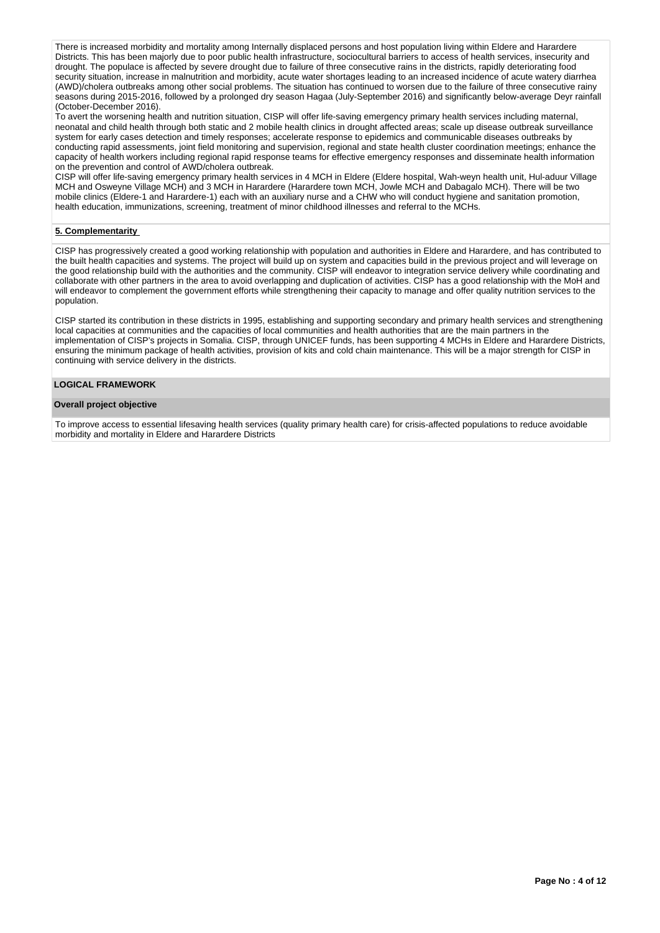There is increased morbidity and mortality among Internally displaced persons and host population living within Eldere and Harardere Districts. This has been majorly due to poor public health infrastructure, sociocultural barriers to access of health services, insecurity and drought. The populace is affected by severe drought due to failure of three consecutive rains in the districts, rapidly deteriorating food security situation, increase in malnutrition and morbidity, acute water shortages leading to an increased incidence of acute watery diarrhea (AWD)/cholera outbreaks among other social problems. The situation has continued to worsen due to the failure of three consecutive rainy seasons during 2015-2016, followed by a prolonged dry season Hagaa (July-September 2016) and significantly below-average Deyr rainfall (October-December 2016).

To avert the worsening health and nutrition situation, CISP will offer life-saving emergency primary health services including maternal, neonatal and child health through both static and 2 mobile health clinics in drought affected areas; scale up disease outbreak surveillance system for early cases detection and timely responses; accelerate response to epidemics and communicable diseases outbreaks by conducting rapid assessments, joint field monitoring and supervision, regional and state health cluster coordination meetings; enhance the capacity of health workers including regional rapid response teams for effective emergency responses and disseminate health information on the prevention and control of AWD/cholera outbreak.

CISP will offer life-saving emergency primary health services in 4 MCH in Eldere (Eldere hospital, Wah-weyn health unit, Hul-aduur Village MCH and Osweyne Village MCH) and 3 MCH in Harardere (Harardere town MCH, Jowle MCH and Dabagalo MCH). There will be two mobile clinics (Eldere-1 and Harardere-1) each with an auxiliary nurse and a CHW who will conduct hygiene and sanitation promotion, health education, immunizations, screening, treatment of minor childhood illnesses and referral to the MCHs.

# **5. Complementarity**

CISP has progressively created a good working relationship with population and authorities in Eldere and Harardere, and has contributed to the built health capacities and systems. The project will build up on system and capacities build in the previous project and will leverage on the good relationship build with the authorities and the community. CISP will endeavor to integration service delivery while coordinating and collaborate with other partners in the area to avoid overlapping and duplication of activities. CISP has a good relationship with the MoH and will endeavor to complement the government efforts while strengthening their capacity to manage and offer quality nutrition services to the population.

CISP started its contribution in these districts in 1995, establishing and supporting secondary and primary health services and strengthening local capacities at communities and the capacities of local communities and health authorities that are the main partners in the implementation of CISP's projects in Somalia. CISP, through UNICEF funds, has been supporting 4 MCHs in Eldere and Harardere Districts, ensuring the minimum package of health activities, provision of kits and cold chain maintenance. This will be a major strength for CISP in continuing with service delivery in the districts.

## **LOGICAL FRAMEWORK**

## **Overall project objective**

To improve access to essential lifesaving health services (quality primary health care) for crisis-affected populations to reduce avoidable morbidity and mortality in Eldere and Harardere Districts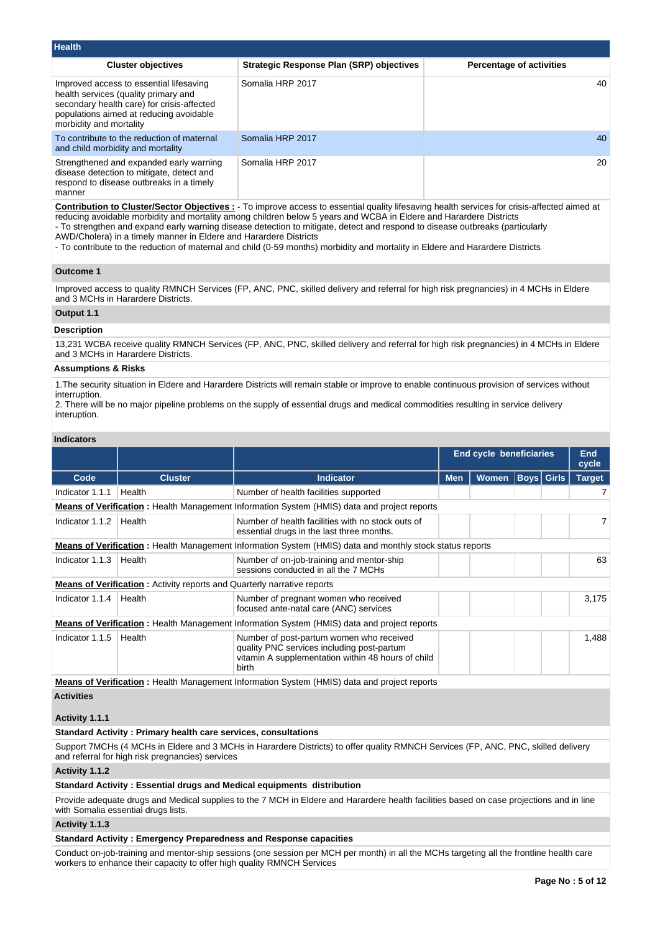| <b>Health</b>                                                                                                                                                                                       |                                          |                                 |
|-----------------------------------------------------------------------------------------------------------------------------------------------------------------------------------------------------|------------------------------------------|---------------------------------|
| <b>Cluster objectives</b>                                                                                                                                                                           | Strategic Response Plan (SRP) objectives | <b>Percentage of activities</b> |
| Improved access to essential lifesaving<br>health services (quality primary and<br>secondary health care) for crisis-affected<br>populations aimed at reducing avoidable<br>morbidity and mortality | Somalia HRP 2017                         | 40                              |
| To contribute to the reduction of maternal<br>and child morbidity and mortality                                                                                                                     | Somalia HRP 2017                         | 40                              |
| Strengthened and expanded early warning<br>disease detection to mitigate, detect and<br>respond to disease outbreaks in a timely<br>manner                                                          | Somalia HRP 2017                         | 20                              |

**Contribution to Cluster/Sector Objectives :** - To improve access to essential quality lifesaving health services for crisis-affected aimed at reducing avoidable morbidity and mortality among children below 5 years and WCBA in Eldere and Harardere Districts

- To strengthen and expand early warning disease detection to mitigate, detect and respond to disease outbreaks (particularly

AWD/Cholera) in a timely manner in Eldere and Harardere Districts

- To contribute to the reduction of maternal and child (0-59 months) morbidity and mortality in Eldere and Harardere Districts

## **Outcome 1**

Improved access to quality RMNCH Services (FP, ANC, PNC, skilled delivery and referral for high risk pregnancies) in 4 MCHs in Eldere and 3 MCHs in Harardere Districts.

# **Output 1.1 Description**

13,231 WCBA receive quality RMNCH Services (FP, ANC, PNC, skilled delivery and referral for high risk pregnancies) in 4 MCHs in Eldere and 3 MCHs in Harardere Districts.

## **Assumptions & Risks**

1.The security situation in Eldere and Harardere Districts will remain stable or improve to enable continuous provision of services without interruption.

2. There will be no major pipeline problems on the supply of essential drugs and medical commodities resulting in service delivery interuption.

## **Indicators**

|                 |                                                                                 |                                                                                                                                                       |                                                 | <b>End cycle beneficiaries</b> |  |  |               |
|-----------------|---------------------------------------------------------------------------------|-------------------------------------------------------------------------------------------------------------------------------------------------------|-------------------------------------------------|--------------------------------|--|--|---------------|
| Code            | <b>Cluster</b>                                                                  | <b>Indicator</b>                                                                                                                                      | <b>Boys</b> Girls<br><b>Men</b><br><b>Women</b> |                                |  |  | <b>Target</b> |
| Indicator 1.1.1 | Health                                                                          | Number of health facilities supported                                                                                                                 |                                                 |                                |  |  |               |
|                 |                                                                                 | <b>Means of Verification</b> : Health Management Information System (HMIS) data and project reports                                                   |                                                 |                                |  |  |               |
| Indicator 1.1.2 | Health                                                                          | Number of health facilities with no stock outs of<br>essential drugs in the last three months.                                                        |                                                 |                                |  |  |               |
|                 |                                                                                 | <b>Means of Verification</b> : Health Management Information System (HMIS) data and monthly stock status reports                                      |                                                 |                                |  |  |               |
| Indicator 1.1.3 | Health                                                                          | Number of on-job-training and mentor-ship<br>sessions conducted in all the 7 MCHs                                                                     |                                                 |                                |  |  | 63            |
|                 | <b>Means of Verification</b> : Activity reports and Quarterly narrative reports |                                                                                                                                                       |                                                 |                                |  |  |               |
| Indicator 1.1.4 | Health                                                                          | Number of pregnant women who received<br>focused ante-natal care (ANC) services                                                                       |                                                 |                                |  |  | 3,175         |
|                 |                                                                                 | <b>Means of Verification</b> : Health Management Information System (HMIS) data and project reports                                                   |                                                 |                                |  |  |               |
| Indicator 1.1.5 | Health                                                                          | Number of post-partum women who received<br>quality PNC services including post-partum<br>vitamin A supplementation within 48 hours of child<br>birth |                                                 |                                |  |  | 1,488         |

**Means of Verification :** Health Management Information System (HMIS) data and project reports

# **Activities**

# **Activity 1.1.1**

# **Standard Activity : Primary health care services, consultations**

Support 7MCHs (4 MCHs in Eldere and 3 MCHs in Harardere Districts) to offer quality RMNCH Services (FP, ANC, PNC, skilled delivery and referral for high risk pregnancies) services

# **Activity 1.1.2**

# **Standard Activity : Essential drugs and Medical equipments distribution**

Provide adequate drugs and Medical supplies to the 7 MCH in Eldere and Harardere health facilities based on case projections and in line with Somalia essential drugs lists.

## **Activity 1.1.3**

# **Standard Activity : Emergency Preparedness and Response capacities**

Conduct on-job-training and mentor-ship sessions (one session per MCH per month) in all the MCHs targeting all the frontline health care workers to enhance their capacity to offer high quality RMNCH Services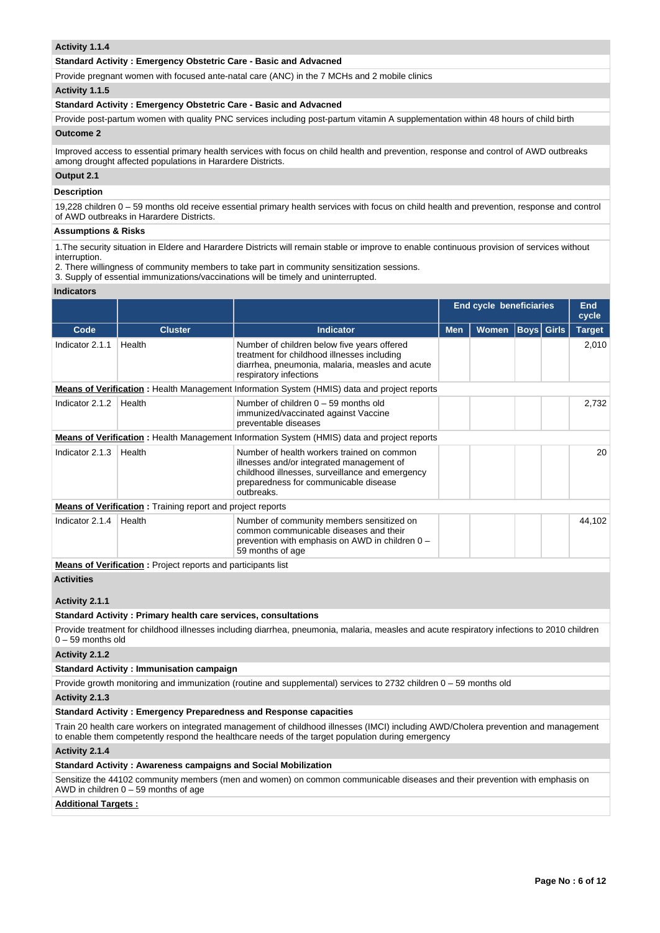## **Activity 1.1.4**

## **Standard Activity : Emergency Obstetric Care - Basic and Advacned**

Provide pregnant women with focused ante-natal care (ANC) in the 7 MCHs and 2 mobile clinics

## **Activity 1.1.5**

## **Standard Activity : Emergency Obstetric Care - Basic and Advacned**

Provide post-partum women with quality PNC services including post-partum vitamin A supplementation within 48 hours of child birth **Outcome 2**

Improved access to essential primary health services with focus on child health and prevention, response and control of AWD outbreaks among drought affected populations in Harardere Districts.

# **Output 2.1**

# **Description**

19,228 children 0 – 59 months old receive essential primary health services with focus on child health and prevention, response and control of AWD outbreaks in Harardere Districts.

## **Assumptions & Risks**

1.The security situation in Eldere and Harardere Districts will remain stable or improve to enable continuous provision of services without interruption.

- 2. There willingness of community members to take part in community sensitization sessions.
- 3. Supply of essential immunizations/vaccinations will be timely and uninterrupted.

#### **Indicators**

|                 |                                                                      |                                                                                                                                                                                                   |            | <b>End cycle beneficiaries</b> |  |        |               |
|-----------------|----------------------------------------------------------------------|---------------------------------------------------------------------------------------------------------------------------------------------------------------------------------------------------|------------|--------------------------------|--|--------|---------------|
| Code            | <b>Cluster</b>                                                       | <b>Indicator</b>                                                                                                                                                                                  | <b>Men</b> | <b>Women</b><br><b>Boys</b>    |  | Girls  | <b>Target</b> |
| Indicator 2.1.1 | Health                                                               | Number of children below five years offered<br>treatment for childhood illnesses including<br>diarrhea, pneumonia, malaria, measles and acute<br>respiratory infections                           |            |                                |  |        | 2,010         |
|                 |                                                                      | <b>Means of Verification</b> : Health Management Information System (HMIS) data and project reports                                                                                               |            |                                |  |        |               |
| Indicator 2.1.2 | Health                                                               | Number of children $0 - 59$ months old<br>immunized/vaccinated against Vaccine<br>preventable diseases                                                                                            |            |                                |  |        | 2,732         |
|                 |                                                                      | <b>Means of Verification</b> : Health Management Information System (HMIS) data and project reports                                                                                               |            |                                |  |        |               |
| Indicator 2.1.3 | Health                                                               | Number of health workers trained on common<br>illnesses and/or integrated management of<br>childhood illnesses, surveillance and emergency<br>preparedness for communicable disease<br>outbreaks. |            |                                |  |        | 20            |
|                 | <b>Means of Verification:</b> Training report and project reports    |                                                                                                                                                                                                   |            |                                |  |        |               |
| Indicator 2.1.4 | Health                                                               | Number of community members sensitized on<br>common communicable diseases and their<br>prevention with emphasis on AWD in children 0 -<br>59 months of age                                        |            |                                |  | 44,102 |               |
|                 | <b>Means of Verification</b> : Project reports and participants list |                                                                                                                                                                                                   |            |                                |  |        |               |

#### **Activities**

## **Activity 2.1.1**

# **Standard Activity : Primary health care services, consultations**

Provide treatment for childhood illnesses including diarrhea, pneumonia, malaria, measles and acute respiratory infections to 2010 children 0 – 59 months old

#### **Activity 2.1.2**

#### **Standard Activity : Immunisation campaign**

Provide growth monitoring and immunization (routine and supplemental) services to 2732 children 0 – 59 months old

**Activity 2.1.3** 

# **Standard Activity : Emergency Preparedness and Response capacities**

Train 20 health care workers on integrated management of childhood illnesses (IMCI) including AWD/Cholera prevention and management to enable them competently respond the healthcare needs of the target population during emergency

# **Activity 2.1.4**

## **Standard Activity : Awareness campaigns and Social Mobilization**

Sensitize the 44102 community members (men and women) on common communicable diseases and their prevention with emphasis on AWD in children 0 – 59 months of age

## **Additional Targets :**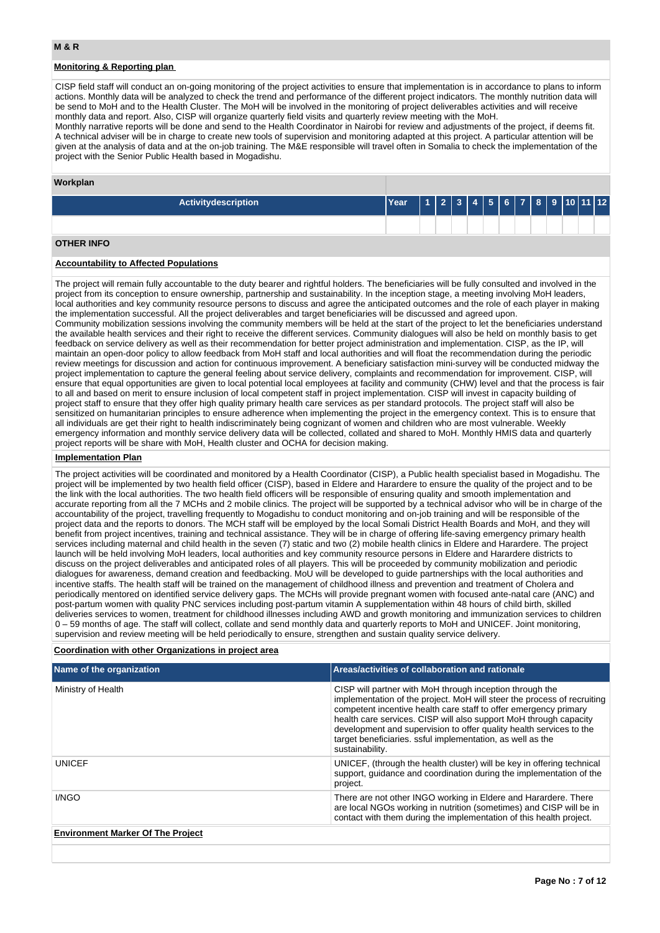# **Monitoring & Reporting plan**

CISP field staff will conduct an on-going monitoring of the project activities to ensure that implementation is in accordance to plans to inform actions. Monthly data will be analyzed to check the trend and performance of the different project indicators. The monthly nutrition data will be send to MoH and to the Health Cluster. The MoH will be involved in the monitoring of project deliverables activities and will receive monthly data and report. Also, CISP will organize quarterly field visits and quarterly review meeting with the MoH.

Monthly narrative reports will be done and send to the Health Coordinator in Nairobi for review and adjustments of the project, if deems fit. A technical adviser will be in charge to create new tools of supervision and monitoring adapted at this project. A particular attention will be given at the analysis of data and at the on-job training. The M&E responsible will travel often in Somalia to check the implementation of the project with the Senior Public Health based in Mogadishu.

## **Workplan**

| <b>Activitydescription</b> | Year |  |  |  | 123456789101112 |  |  |
|----------------------------|------|--|--|--|-----------------|--|--|
|                            |      |  |  |  |                 |  |  |
| <b>OTHER INFO</b>          |      |  |  |  |                 |  |  |

## **Accountability to Affected Populations**

The project will remain fully accountable to the duty bearer and rightful holders. The beneficiaries will be fully consulted and involved in the project from its conception to ensure ownership, partnership and sustainability. In the inception stage, a meeting involving MoH leaders, local authorities and key community resource persons to discuss and agree the anticipated outcomes and the role of each player in making the implementation successful. All the project deliverables and target beneficiaries will be discussed and agreed upon. Community mobilization sessions involving the community members will be held at the start of the project to let the beneficiaries understand the available health services and their right to receive the different services. Community dialogues will also be held on monthly basis to get feedback on service delivery as well as their recommendation for better project administration and implementation. CISP, as the IP, will maintain an open-door policy to allow feedback from MoH staff and local authorities and will float the recommendation during the periodic review meetings for discussion and action for continuous improvement. A beneficiary satisfaction mini-survey will be conducted midway the project implementation to capture the general feeling about service delivery, complaints and recommendation for improvement. CISP, will ensure that equal opportunities are given to local potential local employees at facility and community (CHW) level and that the process is fair to all and based on merit to ensure inclusion of local competent staff in project implementation. CISP will invest in capacity building of project staff to ensure that they offer high quality primary health care services as per standard protocols. The project staff will also be sensitized on humanitarian principles to ensure adherence when implementing the project in the emergency context. This is to ensure that all individuals are get their right to health indiscriminately being cognizant of women and children who are most vulnerable. Weekly

emergency information and monthly service delivery data will be collected, collated and shared to MoH. Monthly HMIS data and quarterly project reports will be share with MoH, Health cluster and OCHA for decision making.

## **Implementation Plan**

The project activities will be coordinated and monitored by a Health Coordinator (CISP), a Public health specialist based in Mogadishu. The project will be implemented by two health field officer (CISP), based in Eldere and Harardere to ensure the quality of the project and to be the link with the local authorities. The two health field officers will be responsible of ensuring quality and smooth implementation and accurate reporting from all the 7 MCHs and 2 mobile clinics. The project will be supported by a technical advisor who will be in charge of the accountability of the project, travelling frequently to Mogadishu to conduct monitoring and on-job training and will be responsible of the project data and the reports to donors. The MCH staff will be employed by the local Somali District Health Boards and MoH, and they will benefit from project incentives, training and technical assistance. They will be in charge of offering life-saving emergency primary health services including maternal and child health in the seven (7) static and two (2) mobile health clinics in Eldere and Harardere. The project launch will be held involving MoH leaders, local authorities and key community resource persons in Eldere and Harardere districts to discuss on the project deliverables and anticipated roles of all players. This will be proceeded by community mobilization and periodic dialogues for awareness, demand creation and feedbacking. MoU will be developed to guide partnerships with the local authorities and incentive staffs. The health staff will be trained on the management of childhood illness and prevention and treatment of Cholera and periodically mentored on identified service delivery gaps. The MCHs will provide pregnant women with focused ante-natal care (ANC) and post-partum women with quality PNC services including post-partum vitamin A supplementation within 48 hours of child birth, skilled deliveries services to women, treatment for childhood illnesses including AWD and growth monitoring and immunization services to children 0 – 59 months of age. The staff will collect, collate and send monthly data and quarterly reports to MoH and UNICEF. Joint monitoring, supervision and review meeting will be held periodically to ensure, strengthen and sustain quality service delivery.

## **Coordination with other Organizations in project area**

| Name of the organization                 | Areas/activities of collaboration and rationale                                                                                                                                                                                                                                                                                                                                                                                      |
|------------------------------------------|--------------------------------------------------------------------------------------------------------------------------------------------------------------------------------------------------------------------------------------------------------------------------------------------------------------------------------------------------------------------------------------------------------------------------------------|
| Ministry of Health                       | CISP will partner with MoH through inception through the<br>implementation of the project. MoH will steer the process of recruiting<br>competent incentive health care staff to offer emergency primary<br>health care services. CISP will also support MoH through capacity<br>development and supervision to offer quality health services to the<br>target beneficiaries. ssful implementation, as well as the<br>sustainability. |
| UNICFF                                   | UNICEF, (through the health cluster) will be key in offering technical<br>support, quidance and coordination during the implementation of the<br>project.                                                                                                                                                                                                                                                                            |
| I/NGO                                    | There are not other INGO working in Eldere and Harardere. There<br>are local NGOs working in nutrition (sometimes) and CISP will be in<br>contact with them during the implementation of this health project.                                                                                                                                                                                                                        |
| <b>Environment Marker Of The Project</b> |                                                                                                                                                                                                                                                                                                                                                                                                                                      |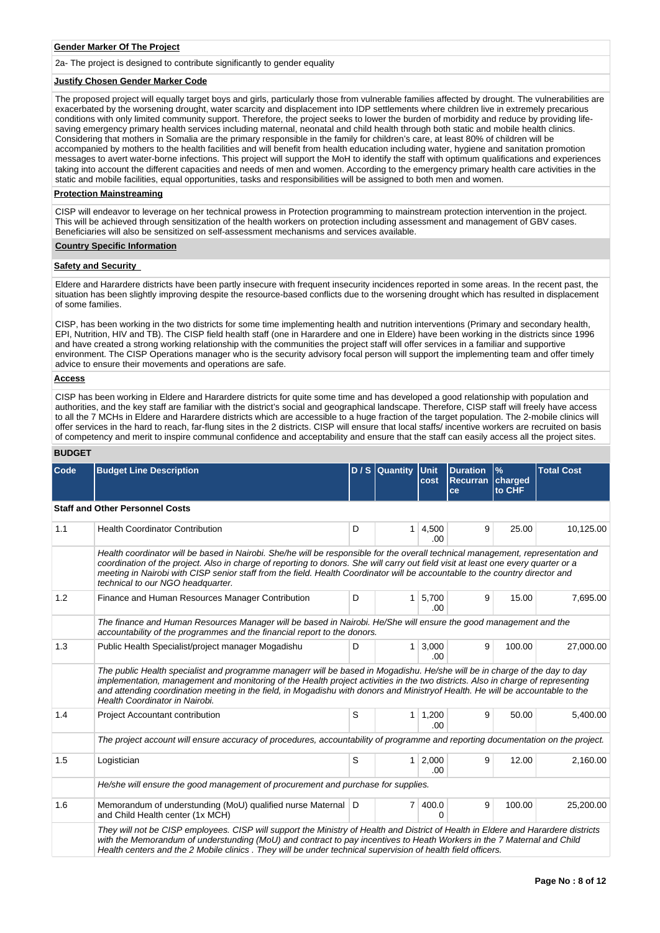## **Gender Marker Of The Project**

2a- The project is designed to contribute significantly to gender equality

## **Justify Chosen Gender Marker Code**

The proposed project will equally target boys and girls, particularly those from vulnerable families affected by drought. The vulnerabilities are exacerbated by the worsening drought, water scarcity and displacement into IDP settlements where children live in extremely precarious conditions with only limited community support. Therefore, the project seeks to lower the burden of morbidity and reduce by providing lifesaving emergency primary health services including maternal, neonatal and child health through both static and mobile health clinics. Considering that mothers in Somalia are the primary responsible in the family for children's care, at least 80% of children will be accompanied by mothers to the health facilities and will benefit from health education including water, hygiene and sanitation promotion messages to avert water-borne infections. This project will support the MoH to identify the staff with optimum qualifications and experiences taking into account the different capacities and needs of men and women. According to the emergency primary health care activities in the static and mobile facilities, equal opportunities, tasks and responsibilities will be assigned to both men and women.

## **Protection Mainstreaming**

CISP will endeavor to leverage on her technical prowess in Protection programming to mainstream protection intervention in the project. This will be achieved through sensitization of the health workers on protection including assessment and management of GBV cases. Beneficiaries will also be sensitized on self-assessment mechanisms and services available.

## **Country Specific Information**

## **Safety and Security**

Eldere and Harardere districts have been partly insecure with frequent insecurity incidences reported in some areas. In the recent past, the situation has been slightly improving despite the resource-based conflicts due to the worsening drought which has resulted in displacement of some families.

CISP, has been working in the two districts for some time implementing health and nutrition interventions (Primary and secondary health, EPI, Nutrition, HIV and TB). The CISP field health staff (one in Harardere and one in Eldere) have been working in the districts since 1996 and have created a strong working relationship with the communities the project staff will offer services in a familiar and supportive environment. The CISP Operations manager who is the security advisory focal person will support the implementing team and offer timely advice to ensure their movements and operations are safe.

#### **Access**

CISP has been working in Eldere and Harardere districts for quite some time and has developed a good relationship with population and authorities, and the key staff are familiar with the district's social and geographical landscape. Therefore, CISP staff will freely have access to all the 7 MCHs in Eldere and Harardere districts which are accessible to a huge fraction of the target population. The 2-mobile clinics will offer services in the hard to reach, far-flung sites in the 2 districts. CISP will ensure that local staffs/ incentive workers are recruited on basis of competency and merit to inspire communal confidence and acceptability and ensure that the staff can easily access all the project sites.

## **BUDGET**

| <b>Code</b> | <b>Budget Line Description</b>                                                                                                                                                                                                                                                                                                                                                                                                              |   | $D / S$ Quantity | Unit<br>cost          | <b>Duration</b><br><b>Recurran</b><br>ce | $\%$<br>charged<br>to CHF | <b>Total Cost</b> |  |  |
|-------------|---------------------------------------------------------------------------------------------------------------------------------------------------------------------------------------------------------------------------------------------------------------------------------------------------------------------------------------------------------------------------------------------------------------------------------------------|---|------------------|-----------------------|------------------------------------------|---------------------------|-------------------|--|--|
|             | <b>Staff and Other Personnel Costs</b>                                                                                                                                                                                                                                                                                                                                                                                                      |   |                  |                       |                                          |                           |                   |  |  |
| 1.1         | <b>Health Coordinator Contribution</b>                                                                                                                                                                                                                                                                                                                                                                                                      | D | 1                | 4,500<br>.00.         | 9                                        | 25.00                     | 10,125.00         |  |  |
|             | Health coordinator will be based in Nairobi. She/he will be responsible for the overall technical management, representation and<br>coordination of the project. Also in charge of reporting to donors. She will carry out field visit at least one every quarter or a<br>meeting in Nairobi with CISP senior staff from the field. Health Coordinator will be accountable to the country director and<br>technical to our NGO headquarter. |   |                  |                       |                                          |                           |                   |  |  |
| 1.2         | Finance and Human Resources Manager Contribution                                                                                                                                                                                                                                                                                                                                                                                            | D | 1                | 5,700<br>.00          | 9                                        | 15.00                     | 7,695.00          |  |  |
|             | The finance and Human Resources Manager will be based in Nairobi. He/She will ensure the good management and the<br>accountability of the programmes and the financial report to the donors.                                                                                                                                                                                                                                                |   |                  |                       |                                          |                           |                   |  |  |
| 1.3         | Public Health Specialist/project manager Mogadishu                                                                                                                                                                                                                                                                                                                                                                                          | D | 1                | 3,000<br>.00          | 9                                        | 100.00                    | 27,000.00         |  |  |
|             | The public Health specialist and programme managerr will be based in Mogadishu. He/she will be in charge of the day to day<br>implementation, management and monitoring of the Health project activities in the two districts. Also in charge of representing<br>and attending coordination meeting in the field, in Mogadishu with donors and Ministryof Health. He will be accountable to the<br>Health Coordinator in Nairobi.           |   |                  |                       |                                          |                           |                   |  |  |
| 1.4         | Project Accountant contribution                                                                                                                                                                                                                                                                                                                                                                                                             | S | 1                | 1,200<br>.00          | 9                                        | 50.00                     | 5,400.00          |  |  |
|             | The project account will ensure accuracy of procedures, accountability of programme and reporting documentation on the project.                                                                                                                                                                                                                                                                                                             |   |                  |                       |                                          |                           |                   |  |  |
| 1.5         | Logistician                                                                                                                                                                                                                                                                                                                                                                                                                                 | S | $\mathbf{1}$     | 2,000<br>.00          | 9                                        | 12.00                     | 2,160.00          |  |  |
|             | He/she will ensure the good management of procurement and purchase for supplies.                                                                                                                                                                                                                                                                                                                                                            |   |                  |                       |                                          |                           |                   |  |  |
| 1.6         | Memorandum of understunding (MoU) qualified nurse Maternal D<br>and Child Health center (1x MCH)                                                                                                                                                                                                                                                                                                                                            |   | 7 <sup>1</sup>   | 400.0<br><sup>0</sup> | 9                                        | 100.00                    | 25,200.00         |  |  |
|             | They will not be CISP employees. CISP will support the Ministry of Health and District of Health in Eldere and Harardere districts<br>with the Memorandum of understunding (MoU) and contract to pay incentives to Heath Workers in the 7 Maternal and Child<br>Health centers and the 2 Mobile clinics . They will be under technical supervision of health field officers.                                                                |   |                  |                       |                                          |                           |                   |  |  |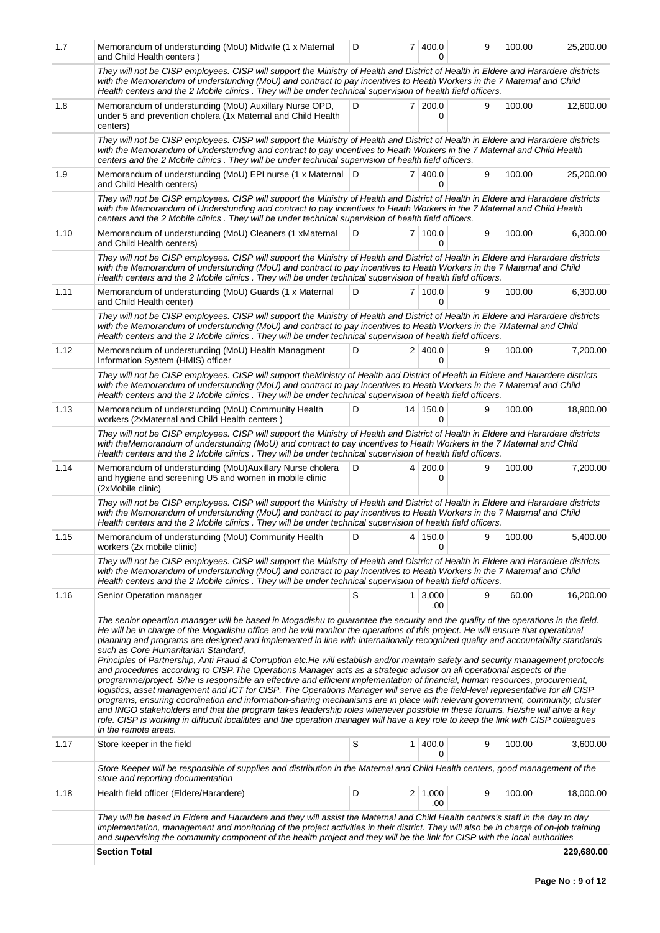| 1.7  | Memorandum of understunding (MoU) Midwife (1 x Maternal<br>and Child Health centers)                                                                                                                                                                                                                                                                                                                                                                                                                                                                                                                                                                                                                                                                                                                                                                                                                                                                                                                                                                                                                                                                                                                                                                                                                                                                                                                           | D |           | 7 400.0<br><sup>0</sup> | 9 | 100.00 | 25,200.00  |
|------|----------------------------------------------------------------------------------------------------------------------------------------------------------------------------------------------------------------------------------------------------------------------------------------------------------------------------------------------------------------------------------------------------------------------------------------------------------------------------------------------------------------------------------------------------------------------------------------------------------------------------------------------------------------------------------------------------------------------------------------------------------------------------------------------------------------------------------------------------------------------------------------------------------------------------------------------------------------------------------------------------------------------------------------------------------------------------------------------------------------------------------------------------------------------------------------------------------------------------------------------------------------------------------------------------------------------------------------------------------------------------------------------------------------|---|-----------|-------------------------|---|--------|------------|
|      | They will not be CISP employees. CISP will support the Ministry of Health and District of Health in Eldere and Harardere districts<br>with the Memorandum of understunding (MoU) and contract to pay incentives to Heath Workers in the 7 Maternal and Child<br>Health centers and the 2 Mobile clinics . They will be under technical supervision of health field officers.                                                                                                                                                                                                                                                                                                                                                                                                                                                                                                                                                                                                                                                                                                                                                                                                                                                                                                                                                                                                                                   |   |           |                         |   |        |            |
| 1.8  | Memorandum of understunding (MoU) Auxillary Nurse OPD,<br>under 5 and prevention cholera (1x Maternal and Child Health<br>centers)                                                                                                                                                                                                                                                                                                                                                                                                                                                                                                                                                                                                                                                                                                                                                                                                                                                                                                                                                                                                                                                                                                                                                                                                                                                                             | D |           | $7 \mid 200.0$<br>0     | 9 | 100.00 | 12,600.00  |
|      | They will not be CISP employees. CISP will support the Ministry of Health and District of Health in Eldere and Harardere districts<br>with the Memorandum of Understunding and contract to pay incentives to Heath Workers in the 7 Maternal and Child Health<br>centers and the 2 Mobile clinics . They will be under technical supervision of health field officers.                                                                                                                                                                                                                                                                                                                                                                                                                                                                                                                                                                                                                                                                                                                                                                                                                                                                                                                                                                                                                                         |   |           |                         |   |        |            |
| 1.9  | Memorandum of understunding (MoU) EPI nurse (1 x Maternal D<br>and Child Health centers)                                                                                                                                                                                                                                                                                                                                                                                                                                                                                                                                                                                                                                                                                                                                                                                                                                                                                                                                                                                                                                                                                                                                                                                                                                                                                                                       |   |           | 7 400.0<br>0            | 9 | 100.00 | 25,200.00  |
|      | They will not be CISP employees. CISP will support the Ministry of Health and District of Health in Eldere and Harardere districts<br>with the Memorandum of Understunding and contract to pay incentives to Heath Workers in the 7 Maternal and Child Health<br>centers and the 2 Mobile clinics. They will be under technical supervision of health field officers.                                                                                                                                                                                                                                                                                                                                                                                                                                                                                                                                                                                                                                                                                                                                                                                                                                                                                                                                                                                                                                          |   |           |                         |   |        |            |
| 1.10 | Memorandum of understunding (MoU) Cleaners (1 xMaternal<br>and Child Health centers)                                                                                                                                                                                                                                                                                                                                                                                                                                                                                                                                                                                                                                                                                                                                                                                                                                                                                                                                                                                                                                                                                                                                                                                                                                                                                                                           | D |           | 7100.0<br>0             | 9 | 100.00 | 6,300.00   |
|      | They will not be CISP employees. CISP will support the Ministry of Health and District of Health in Eldere and Harardere districts<br>with the Memorandum of understunding (MoU) and contract to pay incentives to Heath Workers in the 7 Maternal and Child<br>Health centers and the 2 Mobile clinics . They will be under technical supervision of health field officers.                                                                                                                                                                                                                                                                                                                                                                                                                                                                                                                                                                                                                                                                                                                                                                                                                                                                                                                                                                                                                                   |   |           |                         |   |        |            |
| 1.11 | Memorandum of understunding (MoU) Guards (1 x Maternal<br>and Child Health center)                                                                                                                                                                                                                                                                                                                                                                                                                                                                                                                                                                                                                                                                                                                                                                                                                                                                                                                                                                                                                                                                                                                                                                                                                                                                                                                             | D |           | 7 100.0<br>0            | 9 | 100.00 | 6,300.00   |
|      | They will not be CISP employees. CISP will support the Ministry of Health and District of Health in Eldere and Harardere districts<br>with the Memorandum of understunding (MoU) and contract to pay incentives to Heath Workers in the 7Maternal and Child<br>Health centers and the 2 Mobile clinics . They will be under technical supervision of health field officers.                                                                                                                                                                                                                                                                                                                                                                                                                                                                                                                                                                                                                                                                                                                                                                                                                                                                                                                                                                                                                                    |   |           |                         |   |        |            |
| 1.12 | Memorandum of understunding (MoU) Health Managment<br>Information System (HMIS) officer                                                                                                                                                                                                                                                                                                                                                                                                                                                                                                                                                                                                                                                                                                                                                                                                                                                                                                                                                                                                                                                                                                                                                                                                                                                                                                                        | D |           | 2 400.0<br>0            | 9 | 100.00 | 7,200.00   |
|      | They will not be CISP employees. CISP will support theMinistry of Health and District of Health in Eldere and Harardere districts<br>with the Memorandum of understunding (MoU) and contract to pay incentives to Heath Workers in the 7 Maternal and Child<br>Health centers and the 2 Mobile clinics . They will be under technical supervision of health field officers.                                                                                                                                                                                                                                                                                                                                                                                                                                                                                                                                                                                                                                                                                                                                                                                                                                                                                                                                                                                                                                    |   |           |                         |   |        |            |
| 1.13 | Memorandum of understunding (MoU) Community Health<br>workers (2xMaternal and Child Health centers)                                                                                                                                                                                                                                                                                                                                                                                                                                                                                                                                                                                                                                                                                                                                                                                                                                                                                                                                                                                                                                                                                                                                                                                                                                                                                                            | D |           | 14 150.0<br>0           | 9 | 100.00 | 18,900.00  |
|      | They will not be CISP employees. CISP will support the Ministry of Health and District of Health in Eldere and Harardere districts<br>with theMemorandum of understunding (MoU) and contract to pay incentives to Heath Workers in the 7 Maternal and Child<br>Health centers and the 2 Mobile clinics . They will be under technical supervision of health field officers.                                                                                                                                                                                                                                                                                                                                                                                                                                                                                                                                                                                                                                                                                                                                                                                                                                                                                                                                                                                                                                    |   |           |                         |   |        |            |
| 1.14 | Memorandum of understunding (MoU) Auxillary Nurse cholera<br>and hygiene and screening U5 and women in mobile clinic<br>(2xMobile clinic)                                                                                                                                                                                                                                                                                                                                                                                                                                                                                                                                                                                                                                                                                                                                                                                                                                                                                                                                                                                                                                                                                                                                                                                                                                                                      | D |           | 4 200.0<br>0            | 9 | 100.00 | 7,200.00   |
|      | They will not be CISP employees. CISP will support the Ministry of Health and District of Health in Eldere and Harardere districts<br>with the Memorandum of understunding (MoU) and contract to pay incentives to Heath Workers in the 7 Maternal and Child<br>Health centers and the 2 Mobile clinics . They will be under technical supervision of health field officers.                                                                                                                                                                                                                                                                                                                                                                                                                                                                                                                                                                                                                                                                                                                                                                                                                                                                                                                                                                                                                                   |   |           |                         |   |        |            |
| 1.15 | Memorandum of understunding (MoU) Community Health $\Box$ D   4   150.0<br>workers (2x mobile clinic)                                                                                                                                                                                                                                                                                                                                                                                                                                                                                                                                                                                                                                                                                                                                                                                                                                                                                                                                                                                                                                                                                                                                                                                                                                                                                                          |   |           | 0                       |   | 100.00 | 5,400.00   |
|      | They will not be CISP employees. CISP will support the Ministry of Health and District of Health in Eldere and Harardere districts<br>with the Memorandum of understunding (MoU) and contract to pay incentives to Heath Workers in the 7 Maternal and Child<br>Health centers and the 2 Mobile clinics . They will be under technical supervision of health field officers.                                                                                                                                                                                                                                                                                                                                                                                                                                                                                                                                                                                                                                                                                                                                                                                                                                                                                                                                                                                                                                   |   |           |                         |   |        |            |
| 1.16 | Senior Operation manager                                                                                                                                                                                                                                                                                                                                                                                                                                                                                                                                                                                                                                                                                                                                                                                                                                                                                                                                                                                                                                                                                                                                                                                                                                                                                                                                                                                       | S | $1 \vert$ | 3,000<br>.00            | 9 | 60.00  | 16,200.00  |
|      | The senior opeartion manager will be based in Mogadishu to guarantee the security and the quality of the operations in the field.<br>He will be in charge of the Mogadishu office and he will monitor the operations of this project. He will ensure that operational<br>planning and programs are designed and implemented in line with internationally recognized quality and accountability standards<br>such as Core Humanitarian Standard,<br>Principles of Partnership, Anti Fraud & Corruption etc.He will establish and/or maintain safety and security management protocols<br>and procedures according to CISP. The Operations Manager acts as a strategic advisor on all operational aspects of the<br>programme/project. S/he is responsible an effective and efficient implementation of financial, human resources, procurement,<br>logistics, asset management and ICT for CISP. The Operations Manager will serve as the field-level representative for all CISP<br>programs, ensuring coordination and information-sharing mechanisms are in place with relevant government, community, cluster<br>and INGO stakeholders and that the program takes leadership roles whenever possible in these forums. He/she will ahve a key<br>role. CISP is working in diffucult localitites and the operation manager will have a key role to keep the link with CISP colleagues<br>in the remote areas. |   |           |                         |   |        |            |
| 1.17 | Store keeper in the field                                                                                                                                                                                                                                                                                                                                                                                                                                                                                                                                                                                                                                                                                                                                                                                                                                                                                                                                                                                                                                                                                                                                                                                                                                                                                                                                                                                      | S | 1         | 400.0<br>0              | 9 | 100.00 | 3,600.00   |
|      | Store Keeper will be responsible of supplies and distribution in the Maternal and Child Health centers, good management of the<br>store and reporting documentation                                                                                                                                                                                                                                                                                                                                                                                                                                                                                                                                                                                                                                                                                                                                                                                                                                                                                                                                                                                                                                                                                                                                                                                                                                            |   |           |                         |   |        |            |
| 1.18 | Health field officer (Eldere/Harardere)                                                                                                                                                                                                                                                                                                                                                                                                                                                                                                                                                                                                                                                                                                                                                                                                                                                                                                                                                                                                                                                                                                                                                                                                                                                                                                                                                                        | D |           | $2 \mid 1,000$<br>.00   | 9 | 100.00 | 18,000.00  |
|      | They will be based in Eldere and Harardere and they will assist the Maternal and Child Health centers's staff in the day to day<br>implementation, management and monitoring of the project activities in their district. They will also be in charge of on-job training<br>and supervising the community component of the health project and they will be the link for CISP with the local authorities                                                                                                                                                                                                                                                                                                                                                                                                                                                                                                                                                                                                                                                                                                                                                                                                                                                                                                                                                                                                        |   |           |                         |   |        |            |
|      | <b>Section Total</b>                                                                                                                                                                                                                                                                                                                                                                                                                                                                                                                                                                                                                                                                                                                                                                                                                                                                                                                                                                                                                                                                                                                                                                                                                                                                                                                                                                                           |   |           |                         |   |        | 229,680.00 |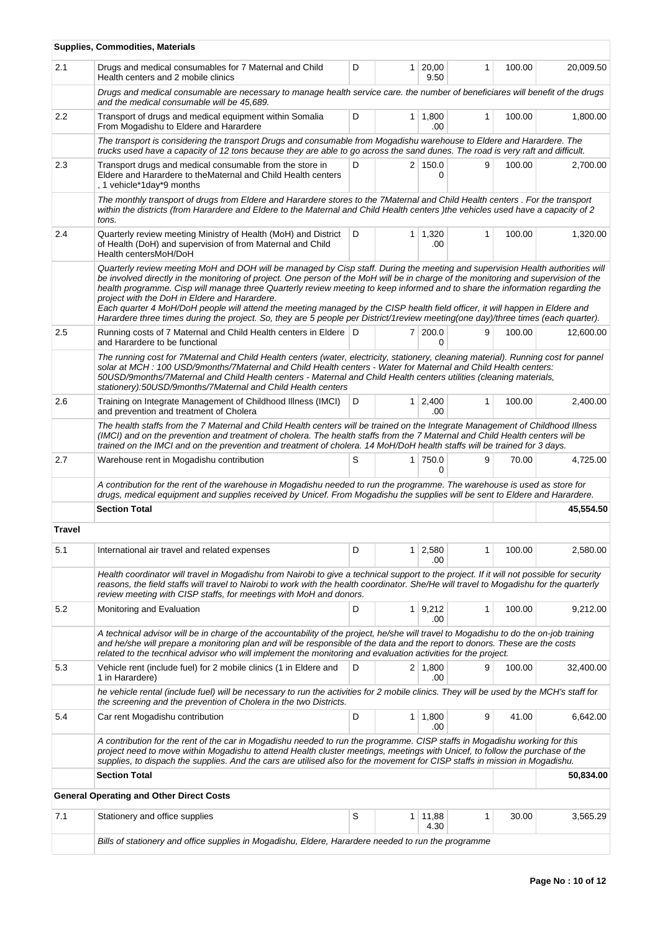|        | Supplies, Commodities, Materials                                                                                                                                                                                                                                                                                                                                                                                                                                                                                                                                                                                                                                                                                              |   |                        |   |        |           |
|--------|-------------------------------------------------------------------------------------------------------------------------------------------------------------------------------------------------------------------------------------------------------------------------------------------------------------------------------------------------------------------------------------------------------------------------------------------------------------------------------------------------------------------------------------------------------------------------------------------------------------------------------------------------------------------------------------------------------------------------------|---|------------------------|---|--------|-----------|
| 2.1    | Drugs and medical consumables for 7 Maternal and Child<br>Health centers and 2 mobile clinics                                                                                                                                                                                                                                                                                                                                                                                                                                                                                                                                                                                                                                 | D | $1 \ 20,00$<br>9.50    | 1 | 100.00 | 20,009.50 |
|        | Drugs and medical consumable are necessary to manage health service care. the number of beneficiares will benefit of the drugs<br>and the medical consumable will be 45,689.                                                                                                                                                                                                                                                                                                                                                                                                                                                                                                                                                  |   |                        |   |        |           |
| 2.2    | Transport of drugs and medical equipment within Somalia<br>From Mogadishu to Eldere and Harardere                                                                                                                                                                                                                                                                                                                                                                                                                                                                                                                                                                                                                             | D | $1 \mid 1,800$<br>.00  | 1 | 100.00 | 1,800.00  |
|        | The transport is considering the transport Drugs and consumable from Mogadishu warehouse to Eldere and Harardere. The<br>trucks used have a capacity of 12 tons because they are able to go across the sand dunes. The road is very raft and difficult.                                                                                                                                                                                                                                                                                                                                                                                                                                                                       |   |                        |   |        |           |
| 2.3    | Transport drugs and medical consumable from the store in<br>Eldere and Harardere to the Maternal and Child Health centers<br>, 1 vehicle*1day*9 months                                                                                                                                                                                                                                                                                                                                                                                                                                                                                                                                                                        | D | 2 150.0<br>0           | 9 | 100.00 | 2,700.00  |
|        | The monthly transport of drugs from Eldere and Harardere stores to the 7Maternal and Child Health centers. For the transport<br>within the districts (from Harardere and Eldere to the Maternal and Child Health centers) the vehicles used have a capacity of 2<br>tons.                                                                                                                                                                                                                                                                                                                                                                                                                                                     |   |                        |   |        |           |
| 2.4    | Quarterly review meeting Ministry of Health (MoH) and District<br>of Health (DoH) and supervision of from Maternal and Child<br>Health centersMoH/DoH                                                                                                                                                                                                                                                                                                                                                                                                                                                                                                                                                                         | D | $1 \mid 1,320$<br>.00  | 1 | 100.00 | 1,320.00  |
|        | Quarterly review meeting MoH and DOH will be managed by Cisp staff. During the meeting and supervision Health authorities will<br>be involved directly in the monitoring of project. One person of the MoH will be in charge of the monitoring and supervision of the<br>health programme. Cisp will manage three Quarterly review meeting to keep informed and to share the information regarding the<br>project with the DoH in Eldere and Harardere.<br>Each quarter 4 MoH/DoH people will attend the meeting managed by the CISP health field officer, it will happen in Eldere and<br>Harardere three times during the project. So, they are 5 people per District/1 review meeting(one day)/three times (each quarter). |   |                        |   |        |           |
| 2.5    | Running costs of 7 Maternal and Child Health centers in Eldere D<br>and Harardere to be functional                                                                                                                                                                                                                                                                                                                                                                                                                                                                                                                                                                                                                            |   | 7 200.0<br>0           | 9 | 100.00 | 12,600.00 |
|        | The running cost for 7Maternal and Child Health centers (water, electricity, stationery, cleaning material). Running cost for pannel<br>solar at MCH: 100 USD/9months/7Maternal and Child Health centers - Water for Maternal and Child Health centers:<br>50USD/9months/7Maternal and Child Health centers - Maternal and Child Health centers utilities (cleaning materials,<br>stationery):50USD/9months/7Maternal and Child Health centers                                                                                                                                                                                                                                                                                |   |                        |   |        |           |
| 2.6    | Training on Integrate Management of Childhood Illness (IMCI)<br>and prevention and treatment of Cholera                                                                                                                                                                                                                                                                                                                                                                                                                                                                                                                                                                                                                       | D | $1 \mid 2,400$<br>.00  | 1 | 100.00 | 2,400.00  |
|        | The health staffs from the 7 Maternal and Child Health centers will be trained on the Integrate Management of Childhood Illness<br>(IMCI) and on the prevention and treatment of cholera. The health staffs from the 7 Maternal and Child Health centers will be<br>trained on the IMCI and on the prevention and treatment of cholera. 14 MoH/DoH health staffs will be trained for 3 days.                                                                                                                                                                                                                                                                                                                                  |   |                        |   |        |           |
| 2.7    | Warehouse rent in Mogadishu contribution                                                                                                                                                                                                                                                                                                                                                                                                                                                                                                                                                                                                                                                                                      | S | 1 750.0<br>0           | 9 | 70.00  | 4,725.00  |
|        | A contribution for the rent of the warehouse in Mogadishu needed to run the programme. The warehouse is used as store for<br>drugs, medical equipment and supplies received by Unicef. From Mogadishu the supplies will be sent to Eldere and Harardere.                                                                                                                                                                                                                                                                                                                                                                                                                                                                      |   |                        |   |        |           |
|        | <b>Section Total</b>                                                                                                                                                                                                                                                                                                                                                                                                                                                                                                                                                                                                                                                                                                          |   |                        |   |        | 45.554.50 |
| Travel |                                                                                                                                                                                                                                                                                                                                                                                                                                                                                                                                                                                                                                                                                                                               |   |                        |   |        |           |
| 5.1    | International air travel and related expenses                                                                                                                                                                                                                                                                                                                                                                                                                                                                                                                                                                                                                                                                                 | D | $1 \mid 2,580$<br>.00  | 1 | 100.00 | 2,580.00  |
|        | Health coordinator will travel in Mogadishu from Nairobi to give a technical support to the project. If it will not possible for security<br>reasons, the field staffs will travel to Nairobi to work with the health coordinator. She/He will travel to Mogadishu for the quarterly<br>review meeting with CISP staffs, for meetings with MoH and donors.                                                                                                                                                                                                                                                                                                                                                                    |   |                        |   |        |           |
| 5.2    | Monitoring and Evaluation                                                                                                                                                                                                                                                                                                                                                                                                                                                                                                                                                                                                                                                                                                     | D | 1 9,212<br>.00         | 1 | 100.00 | 9,212.00  |
|        | A technical advisor will be in charge of the accountability of the project, he/she will travel to Mogadishu to do the on-job training<br>and he/she will prepare a monitoring plan and will be responsible of the data and the report to donors. These are the costs<br>related to the tecnhical advisor who will implement the monitoring and evaluation activities for the project.                                                                                                                                                                                                                                                                                                                                         |   |                        |   |        |           |
| 5.3    | Vehicle rent (include fuel) for 2 mobile clinics (1 in Eldere and<br>1 in Harardere)                                                                                                                                                                                                                                                                                                                                                                                                                                                                                                                                                                                                                                          | D | $2 \mid 1,800$<br>.00  | 9 | 100.00 | 32,400.00 |
|        | he vehicle rental (include fuel) will be necessary to run the activities for 2 mobile clinics. They will be used by the MCH's staff for<br>the screening and the prevention of Cholera in the two Districts.                                                                                                                                                                                                                                                                                                                                                                                                                                                                                                                  |   |                        |   |        |           |
| 5.4    | Car rent Mogadishu contribution                                                                                                                                                                                                                                                                                                                                                                                                                                                                                                                                                                                                                                                                                               | D | $1 \mid 1,800$<br>.00  | 9 | 41.00  | 6,642.00  |
|        | A contribution for the rent of the car in Mogadishu needed to run the programme. CISP staffs in Mogadishu working for this<br>project need to move within Mogadishu to attend Health cluster meetings, meetings with Unicef, to follow the purchase of the<br>supplies, to dispach the supplies. And the cars are utilised also for the movement for CISP staffs in mission in Mogadishu.                                                                                                                                                                                                                                                                                                                                     |   |                        |   |        |           |
|        | <b>Section Total</b>                                                                                                                                                                                                                                                                                                                                                                                                                                                                                                                                                                                                                                                                                                          |   |                        |   |        | 50,834.00 |
|        | <b>General Operating and Other Direct Costs</b>                                                                                                                                                                                                                                                                                                                                                                                                                                                                                                                                                                                                                                                                               |   |                        |   |        |           |
| 7.1    | Stationery and office supplies                                                                                                                                                                                                                                                                                                                                                                                                                                                                                                                                                                                                                                                                                                | S | $1 \mid 11,88$<br>4.30 | 1 | 30.00  | 3,565.29  |
|        | Bills of stationery and office supplies in Mogadishu, Eldere, Harardere needed to run the programme                                                                                                                                                                                                                                                                                                                                                                                                                                                                                                                                                                                                                           |   |                        |   |        |           |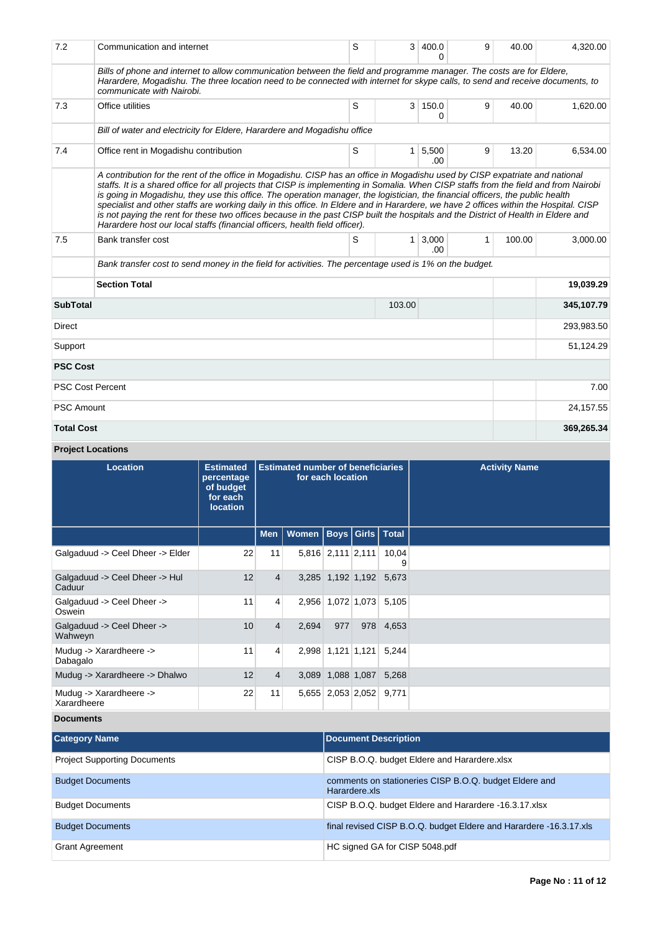| 7.2               | Communication and internet                                                                                                                                                                                                                                                                                                                                                                                                                                                                                                                                                                                                                                                                                                                                            | S | 3              | 400.0         | 9 | 40.00  | 4,320.00   |  |
|-------------------|-----------------------------------------------------------------------------------------------------------------------------------------------------------------------------------------------------------------------------------------------------------------------------------------------------------------------------------------------------------------------------------------------------------------------------------------------------------------------------------------------------------------------------------------------------------------------------------------------------------------------------------------------------------------------------------------------------------------------------------------------------------------------|---|----------------|---------------|---|--------|------------|--|
|                   | Bills of phone and internet to allow communication between the field and programme manager. The costs are for Eldere,<br>Harardere, Mogadishu. The three location need to be connected with internet for skype calls, to send and receive documents, to<br>communicate with Nairobi.                                                                                                                                                                                                                                                                                                                                                                                                                                                                                  |   |                |               |   |        |            |  |
| 7.3               | Office utilities                                                                                                                                                                                                                                                                                                                                                                                                                                                                                                                                                                                                                                                                                                                                                      | S | 3 <sup>1</sup> | 150.0<br>0    | 9 | 40.00  | 1,620.00   |  |
|                   | Bill of water and electricity for Eldere, Harardere and Mogadishu office                                                                                                                                                                                                                                                                                                                                                                                                                                                                                                                                                                                                                                                                                              |   |                |               |   |        |            |  |
| 7.4               | Office rent in Mogadishu contribution                                                                                                                                                                                                                                                                                                                                                                                                                                                                                                                                                                                                                                                                                                                                 | S | 1 <sup>1</sup> | 5,500<br>.00. | 9 | 13.20  | 6,534.00   |  |
|                   | A contribution for the rent of the office in Mogadishu. CISP has an office in Mogadishu used by CISP expatriate and national<br>staffs. It is a shared office for all projects that CISP is implementing in Somalia. When CISP staffs from the field and from Nairobi<br>is going in Mogadishu, they use this office. The operation manager, the logistician, the financial officers, the public health<br>specialist and other staffs are working daily in this office. In Eldere and in Harardere, we have 2 offices within the Hospital. CISP<br>is not paying the rent for these two offices because in the past CISP built the hospitals and the District of Health in Eldere and<br>Harardere host our local staffs (financial officers, health field officer). |   |                |               |   |        |            |  |
| 7.5               | Bank transfer cost                                                                                                                                                                                                                                                                                                                                                                                                                                                                                                                                                                                                                                                                                                                                                    | S | 1 <sup>1</sup> | 3,000<br>.00  | 1 | 100.00 | 3,000.00   |  |
|                   | Bank transfer cost to send money in the field for activities. The percentage used is 1% on the budget.                                                                                                                                                                                                                                                                                                                                                                                                                                                                                                                                                                                                                                                                |   |                |               |   |        |            |  |
|                   | <b>Section Total</b>                                                                                                                                                                                                                                                                                                                                                                                                                                                                                                                                                                                                                                                                                                                                                  |   |                |               |   |        | 19,039.29  |  |
| <b>SubTotal</b>   |                                                                                                                                                                                                                                                                                                                                                                                                                                                                                                                                                                                                                                                                                                                                                                       |   | 103.00         |               |   |        | 345,107.79 |  |
| Direct            |                                                                                                                                                                                                                                                                                                                                                                                                                                                                                                                                                                                                                                                                                                                                                                       |   |                |               |   |        | 293,983.50 |  |
| Support           |                                                                                                                                                                                                                                                                                                                                                                                                                                                                                                                                                                                                                                                                                                                                                                       |   |                |               |   |        | 51,124.29  |  |
| <b>PSC Cost</b>   |                                                                                                                                                                                                                                                                                                                                                                                                                                                                                                                                                                                                                                                                                                                                                                       |   |                |               |   |        |            |  |
|                   | <b>PSC Cost Percent</b>                                                                                                                                                                                                                                                                                                                                                                                                                                                                                                                                                                                                                                                                                                                                               |   |                |               |   |        | 7.00       |  |
| <b>PSC Amount</b> |                                                                                                                                                                                                                                                                                                                                                                                                                                                                                                                                                                                                                                                                                                                                                                       |   |                |               |   |        | 24, 157.55 |  |
| <b>Total Cost</b> |                                                                                                                                                                                                                                                                                                                                                                                                                                                                                                                                                                                                                                                                                                                                                                       |   |                |               |   |        | 369,265.34 |  |

**Project Locations**

| <b>Location</b>                          | <b>Estimated</b><br>percentage<br>of budget<br>for each<br><b>location</b> | <b>Estimated number of beneficiaries</b><br>for each location |                              |                   |     |                         | <b>Activity Name</b> |
|------------------------------------------|----------------------------------------------------------------------------|---------------------------------------------------------------|------------------------------|-------------------|-----|-------------------------|----------------------|
|                                          |                                                                            | Men                                                           | Women   Boys   Girls   Total |                   |     |                         |                      |
| Galgaduud -> Ceel Dheer -> Elder         | 22                                                                         | 11                                                            |                              | 5,816 2,111 2,111 |     | 10,04<br>9              |                      |
| Galgaduud -> Ceel Dheer -> Hul<br>Caduur | 12                                                                         | $\overline{4}$                                                |                              |                   |     | 3,285 1,192 1,192 5,673 |                      |
| Galgaduud -> Ceel Dheer -><br>Oswein     | 11                                                                         | 4                                                             |                              |                   |     | 2,956 1,072 1,073 5,105 |                      |
| Galgaduud -> Ceel Dheer -><br>Wahweyn    | 10                                                                         | $\overline{4}$                                                | 2,694                        | 977               | 978 | 4,653                   |                      |
| Mudug -> Xarardheere -><br>Dabagalo      | 11                                                                         | 4                                                             |                              | 2,998 1,121 1,121 |     | 5,244                   |                      |
| Mudug -> Xarardheere -> Dhalwo           | 12                                                                         | $\overline{4}$                                                |                              | 3,089 1,088 1,087 |     | 5,268                   |                      |
| Mudug -> Xarardheere -><br>Xarardheere   | 22                                                                         | 11                                                            |                              |                   |     | 5,655 2,053 2,052 9,771 |                      |

**Documents**

| <b>Category Name</b>                | <b>Document Description</b>                                             |
|-------------------------------------|-------------------------------------------------------------------------|
| <b>Project Supporting Documents</b> | CISP B.O.Q. budget Eldere and Harardere.xlsx                            |
| <b>Budget Documents</b>             | comments on stationeries CISP B.O.Q. budget Eldere and<br>Harardere.xls |
| <b>Budget Documents</b>             | CISP B.O.Q. budget Eldere and Harardere -16.3.17.xlsx                   |
| <b>Budget Documents</b>             | final revised CISP B.O.Q. budget Eldere and Harardere -16.3.17.xls      |
| <b>Grant Agreement</b>              | HC signed GA for CISP 5048.pdf                                          |